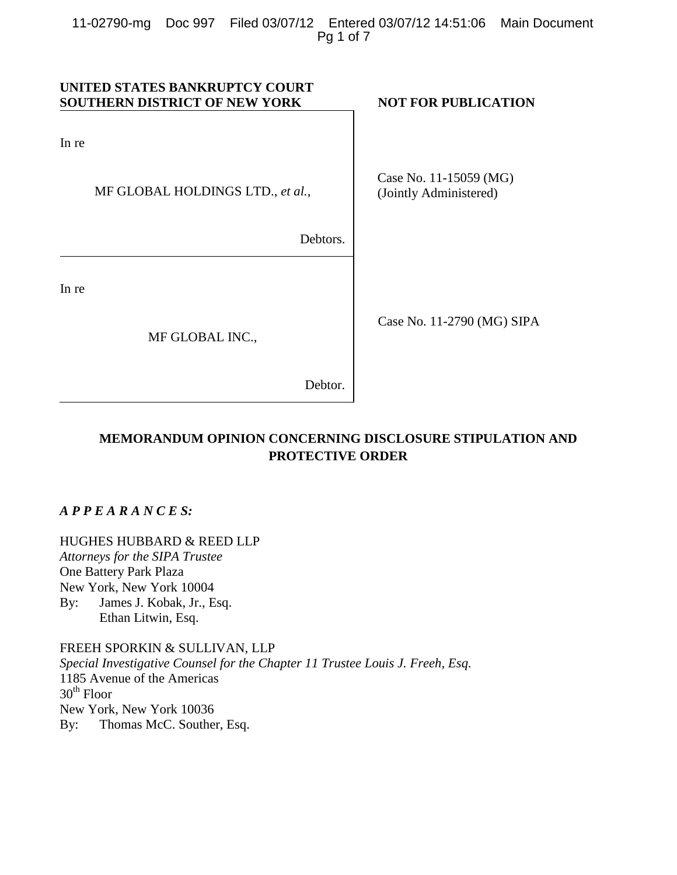| UNITED STATES BANKRUPTCY COURT<br><b>SOUTHERN DISTRICT OF NEW YORK</b> |          | <b>NOT FOR PUBLICATION</b>                       |
|------------------------------------------------------------------------|----------|--------------------------------------------------|
| In re                                                                  |          |                                                  |
| MF GLOBAL HOLDINGS LTD., et al.,                                       |          | Case No. 11-15059 (MG)<br>(Jointly Administered) |
|                                                                        | Debtors. |                                                  |
| In re                                                                  |          |                                                  |
| MF GLOBAL INC.,                                                        |          | Case No. 11-2790 (MG) SIPA                       |
|                                                                        | Debtor.  |                                                  |

# **MEMORANDUM OPINION CONCERNING DISCLOSURE STIPULATION AND PROTECTIVE ORDER**

*A P P E A R A N C E S:*

HUGHES HUBBARD & REED LLP

*Attorneys for the SIPA Trustee* One Battery Park Plaza New York, New York 10004 By: James J. Kobak, Jr., Esq. Ethan Litwin, Esq.

FREEH SPORKIN & SULLIVAN, LLP *Special Investigative Counsel for the Chapter 11 Trustee Louis J. Freeh, Esq.* 1185 Avenue of the Americas  $30<sup>th</sup>$  Floor New York, New York 10036 By: Thomas McC. Souther, Esq.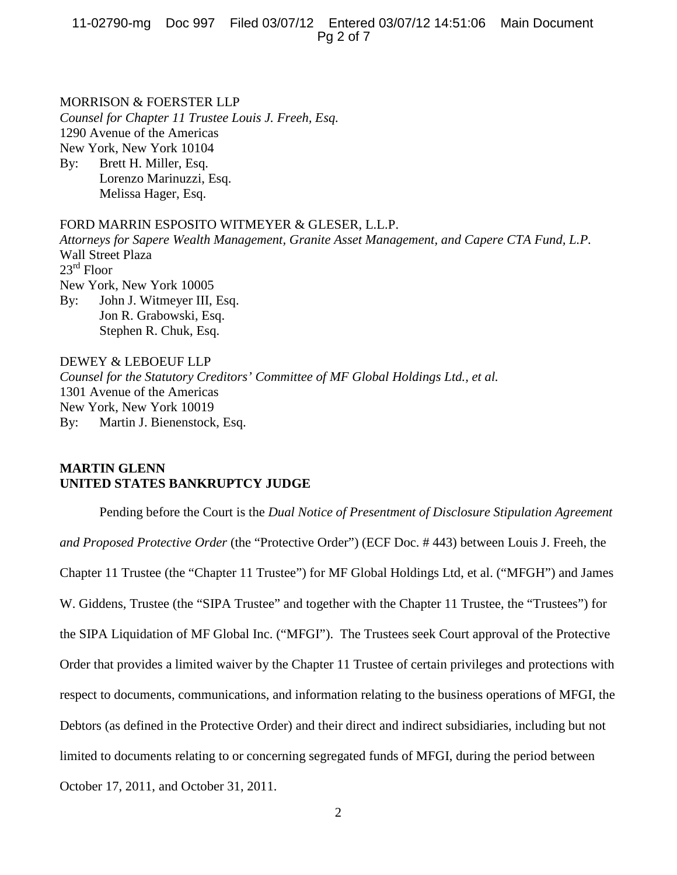11-02790-mg Doc 997 Filed 03/07/12 Entered 03/07/12 14:51:06 Main Document Pg 2 of 7

## MORRISON & FOERSTER LLP

*Counsel for Chapter 11 Trustee Louis J. Freeh, Esq.* 1290 Avenue of the Americas New York, New York 10104 By: Brett H. Miller, Esq.

Lorenzo Marinuzzi, Esq. Melissa Hager, Esq.

# FORD MARRIN ESPOSITO WITMEYER & GLESER, L.L.P.

*Attorneys for Sapere Wealth Management, Granite Asset Management, and Capere CTA Fund, L.P.* Wall Street Plaza 23rd Floor New York, New York 10005 By: John J. Witmeyer III, Esq. Jon R. Grabowski, Esq.

Stephen R. Chuk, Esq. DEWEY & LEBOEUF LLP

*Counsel for the Statutory Creditors' Committee of MF Global Holdings Ltd., et al.* 1301 Avenue of the Americas New York, New York 10019 By: Martin J. Bienenstock, Esq.

# **MARTIN GLENN UNITED STATES BANKRUPTCY JUDGE**

Pending before the Court is the *Dual Notice of Presentment of Disclosure Stipulation Agreement and Proposed Protective Order* (the "Protective Order") (ECF Doc. # 443) between Louis J. Freeh, the Chapter 11 Trustee (the "Chapter 11 Trustee") for MF Global Holdings Ltd, et al. ("MFGH") and James W. Giddens, Trustee (the "SIPA Trustee" and together with the Chapter 11 Trustee, the "Trustees") for the SIPA Liquidation of MF Global Inc. ("MFGI"). The Trustees seek Court approval of the Protective Order that provides a limited waiver by the Chapter 11 Trustee of certain privileges and protections with respect to documents, communications, and information relating to the business operations of MFGI, the Debtors (as defined in the Protective Order) and their direct and indirect subsidiaries, including but not limited to documents relating to or concerning segregated funds of MFGI, during the period between October 17, 2011, and October 31, 2011.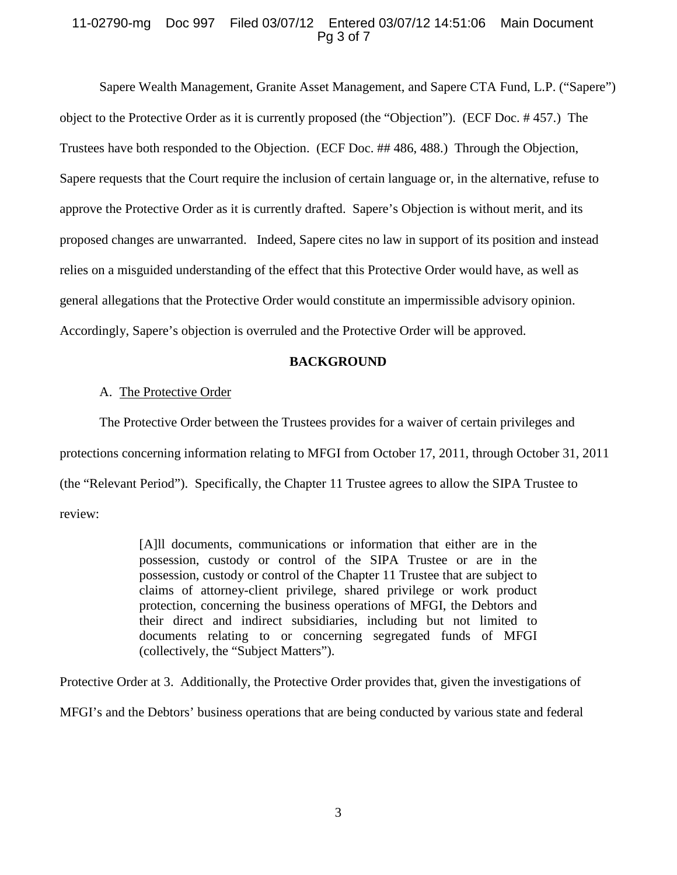# 11-02790-mg Doc 997 Filed 03/07/12 Entered 03/07/12 14:51:06 Main Document Pg 3 of 7

Sapere Wealth Management, Granite Asset Management, and Sapere CTA Fund, L.P. ("Sapere") object to the Protective Order as it is currently proposed (the "Objection"). (ECF Doc. # 457.) The Trustees have both responded to the Objection. (ECF Doc. ## 486, 488.) Through the Objection, Sapere requests that the Court require the inclusion of certain language or, in the alternative, refuse to approve the Protective Order as it is currently drafted. Sapere's Objection is without merit, and its proposed changes are unwarranted. Indeed, Sapere cites no law in support of its position and instead relies on a misguided understanding of the effect that this Protective Order would have, as well as general allegations that the Protective Order would constitute an impermissible advisory opinion. Accordingly, Sapere's objection is overruled and the Protective Order will be approved.

# **BACKGROUND**

# A. The Protective Order

The Protective Order between the Trustees provides for a waiver of certain privileges and protections concerning information relating to MFGI from October 17, 2011, through October 31, 2011 (the "Relevant Period"). Specifically, the Chapter 11 Trustee agrees to allow the SIPA Trustee to review:

> [A]ll documents, communications or information that either are in the possession, custody or control of the SIPA Trustee or are in the possession, custody or control of the Chapter 11 Trustee that are subject to claims of attorney-client privilege, shared privilege or work product protection, concerning the business operations of MFGI, the Debtors and their direct and indirect subsidiaries, including but not limited to documents relating to or concerning segregated funds of MFGI (collectively, the "Subject Matters").

Protective Order at 3. Additionally, the Protective Order provides that, given the investigations of

MFGI's and the Debtors' business operations that are being conducted by various state and federal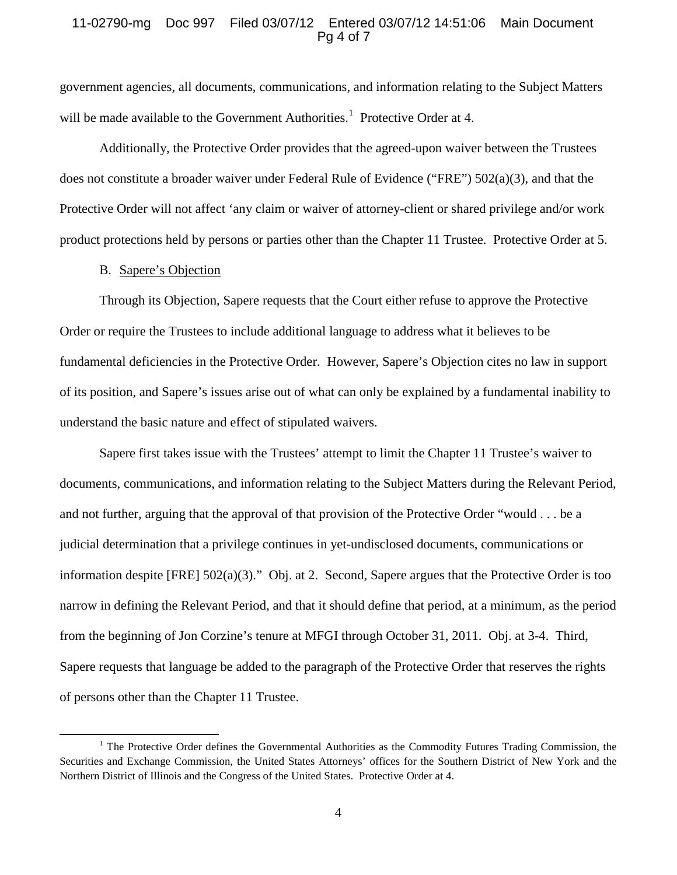## 11-02790-mg Doc 997 Filed 03/07/12 Entered 03/07/12 14:51:06 Main Document Pg 4 of 7

government agencies, all documents, communications, and information relating to the Subject Matters will be made available to the Government Authorities.<sup>[1](#page-3-0)</sup> Protective Order at 4.

Additionally, the Protective Order provides that the agreed-upon waiver between the Trustees does not constitute a broader waiver under Federal Rule of Evidence ("FRE") 502(a)(3), and that the Protective Order will not affect 'any claim or waiver of attorney-client or shared privilege and/or work product protections held by persons or parties other than the Chapter 11 Trustee. Protective Order at 5.

## B. Sapere's Objection

l

Through its Objection, Sapere requests that the Court either refuse to approve the Protective Order or require the Trustees to include additional language to address what it believes to be fundamental deficiencies in the Protective Order. However, Sapere's Objection cites no law in support of its position, and Sapere's issues arise out of what can only be explained by a fundamental inability to understand the basic nature and effect of stipulated waivers.

Sapere first takes issue with the Trustees' attempt to limit the Chapter 11 Trustee's waiver to documents, communications, and information relating to the Subject Matters during the Relevant Period, and not further, arguing that the approval of that provision of the Protective Order "would . . . be a judicial determination that a privilege continues in yet-undisclosed documents, communications or information despite [FRE] 502(a)(3)." Obj. at 2. Second, Sapere argues that the Protective Order is too narrow in defining the Relevant Period, and that it should define that period, at a minimum, as the period from the beginning of Jon Corzine's tenure at MFGI through October 31, 2011. Obj. at 3-4. Third, Sapere requests that language be added to the paragraph of the Protective Order that reserves the rights of persons other than the Chapter 11 Trustee.

<span id="page-3-0"></span><sup>&</sup>lt;sup>1</sup> The Protective Order defines the Governmental Authorities as the Commodity Futures Trading Commission, the Securities and Exchange Commission, the United States Attorneys' offices for the Southern District of New York and the Northern District of Illinois and the Congress of the United States. Protective Order at 4.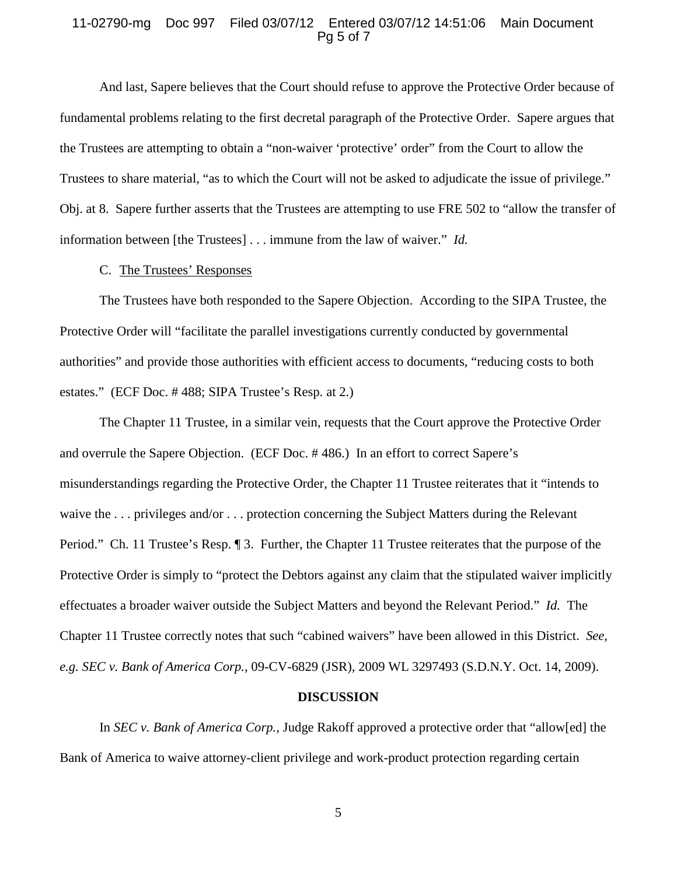### 11-02790-mg Doc 997 Filed 03/07/12 Entered 03/07/12 14:51:06 Main Document Pg 5 of 7

And last, Sapere believes that the Court should refuse to approve the Protective Order because of fundamental problems relating to the first decretal paragraph of the Protective Order. Sapere argues that the Trustees are attempting to obtain a "non-waiver 'protective' order" from the Court to allow the Trustees to share material, "as to which the Court will not be asked to adjudicate the issue of privilege." Obj. at 8. Sapere further asserts that the Trustees are attempting to use FRE 502 to "allow the transfer of information between [the Trustees] . . . immune from the law of waiver." *Id.*

## C. The Trustees' Responses

The Trustees have both responded to the Sapere Objection. According to the SIPA Trustee, the Protective Order will "facilitate the parallel investigations currently conducted by governmental authorities" and provide those authorities with efficient access to documents, "reducing costs to both estates." (ECF Doc. # 488; SIPA Trustee's Resp. at 2.)

The Chapter 11 Trustee, in a similar vein, requests that the Court approve the Protective Order and overrule the Sapere Objection. (ECF Doc. # 486.) In an effort to correct Sapere's misunderstandings regarding the Protective Order, the Chapter 11 Trustee reiterates that it "intends to waive the ... privileges and/or ... protection concerning the Subject Matters during the Relevant Period." Ch. 11 Trustee's Resp. ¶ 3. Further, the Chapter 11 Trustee reiterates that the purpose of the Protective Order is simply to "protect the Debtors against any claim that the stipulated waiver implicitly effectuates a broader waiver outside the Subject Matters and beyond the Relevant Period." *Id.* The Chapter 11 Trustee correctly notes that such "cabined waivers" have been allowed in this District. *See, e.g. SEC v. Bank of America Corp.*, 09-CV-6829 (JSR), 2009 WL 3297493 (S.D.N.Y. Oct. 14, 2009).

#### **DISCUSSION**

In *SEC v. Bank of America Corp.*, Judge Rakoff approved a protective order that "allow[ed] the Bank of America to waive attorney-client privilege and work-product protection regarding certain

5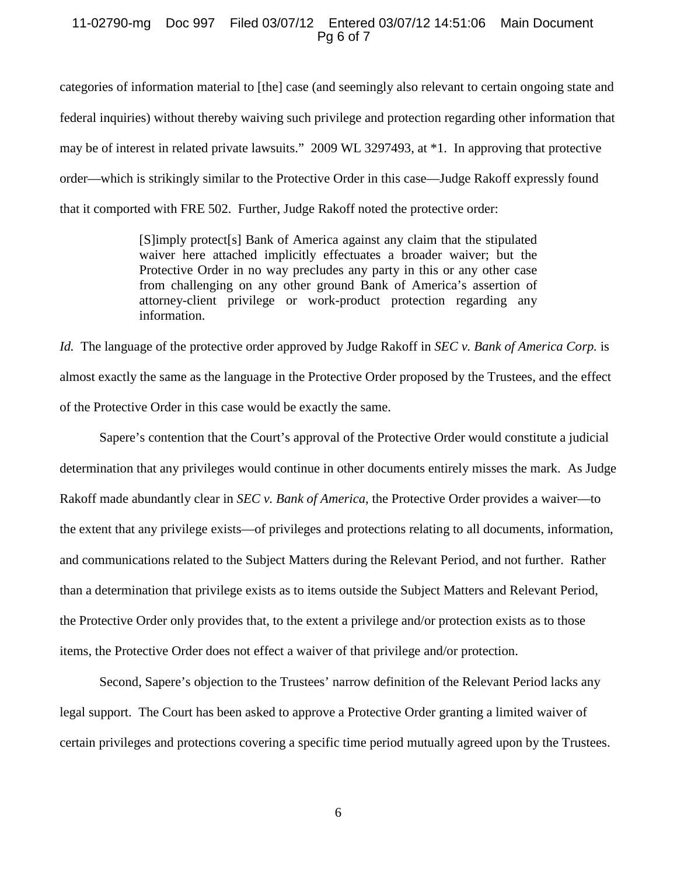## 11-02790-mg Doc 997 Filed 03/07/12 Entered 03/07/12 14:51:06 Main Document Pg 6 of 7

categories of information material to [the] case (and seemingly also relevant to certain ongoing state and federal inquiries) without thereby waiving such privilege and protection regarding other information that may be of interest in related private lawsuits." 2009 WL 3297493, at \*1. In approving that protective order—which is strikingly similar to the Protective Order in this case—Judge Rakoff expressly found that it comported with FRE 502. Further, Judge Rakoff noted the protective order:

> [S]imply protect[s] Bank of America against any claim that the stipulated waiver here attached implicitly effectuates a broader waiver; but the Protective Order in no way precludes any party in this or any other case from challenging on any other ground Bank of America's assertion of attorney-client privilege or work-product protection regarding any information.

*Id.* The language of the protective order approved by Judge Rakoff in *SEC v. Bank of America Corp.* is almost exactly the same as the language in the Protective Order proposed by the Trustees, and the effect of the Protective Order in this case would be exactly the same.

Sapere's contention that the Court's approval of the Protective Order would constitute a judicial determination that any privileges would continue in other documents entirely misses the mark. As Judge Rakoff made abundantly clear in *SEC v. Bank of America*, the Protective Order provides a waiver—to the extent that any privilege exists—of privileges and protections relating to all documents, information, and communications related to the Subject Matters during the Relevant Period, and not further. Rather than a determination that privilege exists as to items outside the Subject Matters and Relevant Period, the Protective Order only provides that, to the extent a privilege and/or protection exists as to those items, the Protective Order does not effect a waiver of that privilege and/or protection.

Second, Sapere's objection to the Trustees' narrow definition of the Relevant Period lacks any legal support. The Court has been asked to approve a Protective Order granting a limited waiver of certain privileges and protections covering a specific time period mutually agreed upon by the Trustees.